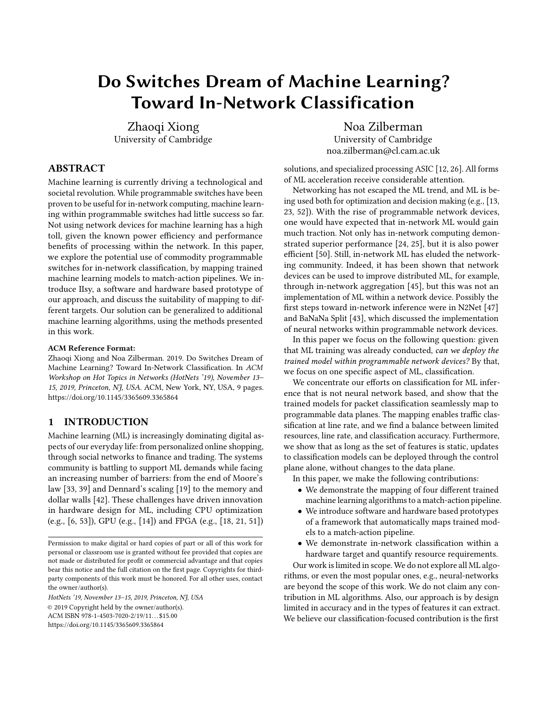# Do Switches Dream of Machine Learning? Toward In-Network Classification

Zhaoqi Xiong University of Cambridge

Noa Zilberman University of Cambridge noa.zilberman@cl.cam.ac.uk

# ABSTRACT

Machine learning is currently driving a technological and societal revolution. While programmable switches have been proven to be useful for in-network computing, machine learning within programmable switches had little success so far. Not using network devices for machine learning has a high toll, given the known power efficiency and performance benefits of processing within the network. In this paper, we explore the potential use of commodity programmable switches for in-network classification, by mapping trained machine learning models to match-action pipelines. We introduce IIsy, a software and hardware based prototype of our approach, and discuss the suitability of mapping to different targets. Our solution can be generalized to additional machine learning algorithms, using the methods presented in this work.

#### ACM Reference Format:

Zhaoqi Xiong and Noa Zilberman. 2019. Do Switches Dream of Machine Learning? Toward In-Network Classification. In ACM Workshop on Hot Topics in Networks (HotNets '19), November 13– 15, 2019, Princeton, NJ, USA. ACM, New York, NY, USA, [9](#page-8-0) pages. <https://doi.org/10.1145/3365609.3365864>

#### <span id="page-0-0"></span>1 INTRODUCTION

Machine learning (ML) is increasingly dominating digital aspects of our everyday life: from personalized online shopping, through social networks to finance and trading. The systems community is battling to support ML demands while facing an increasing number of barriers: from the end of Moore's law [\[33,](#page-7-0) [39\]](#page-8-1) and Dennard's scaling [\[19\]](#page-7-1) to the memory and dollar walls [\[42\]](#page-8-2). These challenges have driven innovation in hardware design for ML, including CPU optimization (e.g., [\[6,](#page-7-2) [53\]](#page-8-3)), GPU (e.g., [\[14\]](#page-7-3)) and FPGA (e.g., [\[18,](#page-7-4) [21,](#page-7-5) [51\]](#page-8-4))

HotNets '19, November 13–15, 2019, Princeton, NJ, USA © 2019 Copyright held by the owner/author(s). ACM ISBN 978-1-4503-7020-2/19/11. . . \$15.00 <https://doi.org/10.1145/3365609.3365864>

solutions, and specialized processing ASIC [\[12,](#page-7-6) [26\]](#page-7-7). All forms of ML acceleration receive considerable attention.

Networking has not escaped the ML trend, and ML is being used both for optimization and decision making (e.g., [\[13,](#page-7-8) [23,](#page-7-9) [52\]](#page-8-5)). With the rise of programmable network devices, one would have expected that in-network ML would gain much traction. Not only has in-network computing demonstrated superior performance [\[24,](#page-7-10) [25\]](#page-7-11), but it is also power efficient [\[50\]](#page-8-6). Still, in-network ML has eluded the networking community. Indeed, it has been shown that network devices can be used to improve distributed ML, for example, through in-network aggregation [\[45\]](#page-8-7), but this was not an implementation of ML within a network device. Possibly the first steps toward in-network inference were in N2Net [\[47\]](#page-8-8) and BaNaNa Split [\[43\]](#page-8-9), which discussed the implementation of neural networks within programmable network devices.

In this paper we focus on the following question: given that ML training was already conducted, can we deploy the trained model within programmable network devices? By that, we focus on one specific aspect of ML, classification.

We concentrate our efforts on classification for ML inference that is not neural network based, and show that the trained models for packet classification seamlessly map to programmable data planes. The mapping enables traffic classification at line rate, and we find a balance between limited resources, line rate, and classification accuracy. Furthermore, we show that as long as the set of features is static, updates to classification models can be deployed through the control plane alone, without changes to the data plane.

In this paper, we make the following contributions:

- We demonstrate the mapping of four different trained machine learning algorithms to a match-action pipeline.
- We introduce software and hardware based prototypes of a framework that automatically maps trained models to a match-action pipeline.
- We demonstrate in-network classification within a hardware target and quantify resource requirements.

Our work is limited in scope. We do not explore all ML algorithms, or even the most popular ones, e.g., neural-networks are beyond the scope of this work. We do not claim any contribution in ML algorithms. Also, our approach is by design limited in accuracy and in the types of features it can extract. We believe our classification-focused contribution is the first

Permission to make digital or hard copies of part or all of this work for personal or classroom use is granted without fee provided that copies are not made or distributed for profit or commercial advantage and that copies bear this notice and the full citation on the first page. Copyrights for thirdparty components of this work must be honored. For all other uses, contact the owner/author(s).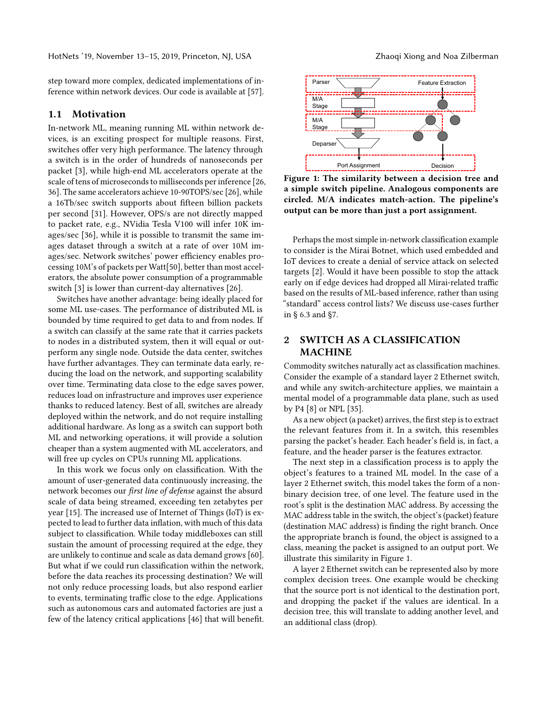step toward more complex, dedicated implementations of inference within network devices. Our code is available at [\[57\]](#page-8-10).

#### 1.1 Motivation

In-network ML, meaning running ML within network devices, is an exciting prospect for multiple reasons. First, switches offer very high performance. The latency through a switch is in the order of hundreds of nanoseconds per packet [\[3\]](#page-7-12), while high-end ML accelerators operate at the scale of tens of microseconds to milliseconds per inference [\[26,](#page-7-7) [36\]](#page-8-11). The same accelerators achieve 10-90TOPS/sec [\[26\]](#page-7-7), while a 16Tb/sec switch supports about fifteen billion packets per second [\[31\]](#page-7-13). However, OPS/s are not directly mapped to packet rate, e.g., NVidia Tesla V100 will infer 10K images/sec [\[36\]](#page-8-11), while it is possible to transmit the same images dataset through a switch at a rate of over 10M images/sec. Network switches' power efficiency enables processing 10M's of packets per Watt[\[50\]](#page-8-6), better than most accelerators, the absolute power consumption of a programmable switch [\[3\]](#page-7-12) is lower than current-day alternatives [\[26\]](#page-7-7).

Switches have another advantage: being ideally placed for some ML use-cases. The performance of distributed ML is bounded by time required to get data to and from nodes. If a switch can classify at the same rate that it carries packets to nodes in a distributed system, then it will equal or outperform any single node. Outside the data center, switches have further advantages. They can terminate data early, reducing the load on the network, and supporting scalability over time. Terminating data close to the edge saves power, reduces load on infrastructure and improves user experience thanks to reduced latency. Best of all, switches are already deployed within the network, and do not require installing additional hardware. As long as a switch can support both ML and networking operations, it will provide a solution cheaper than a system augmented with ML accelerators, and will free up cycles on CPUs running ML applications.

In this work we focus only on classification. With the amount of user-generated data continuously increasing, the network becomes our first line of defense against the absurd scale of data being streamed, exceeding ten zetabytes per year [\[15\]](#page-7-14). The increased use of Internet of Things (IoT) is expected to lead to further data inflation, with much of this data subject to classification. While today middleboxes can still sustain the amount of processing required at the edge, they are unlikely to continue and scale as data demand grows [\[60\]](#page-8-12). But what if we could run classification within the network, before the data reaches its processing destination? We will not only reduce processing loads, but also respond earlier to events, terminating traffic close to the edge. Applications such as autonomous cars and automated factories are just a few of the latency critical applications [\[46\]](#page-8-13) that will benefit.

<span id="page-1-0"></span>

Figure 1: The similarity between a decision tree and a simple switch pipeline. Analogous components are circled. M/A indicates match-action. The pipeline's output can be more than just a port assignment.

Perhaps the most simple in-network classification example to consider is the Mirai Botnet, which used embedded and IoT devices to create a denial of service attack on selected targets [\[2\]](#page-7-15). Would it have been possible to stop the attack early on if edge devices had dropped all Mirai-related traffic based on the results of ML-based inference, rather than using "standard" access control lists? We discuss use-cases further in § [6.3](#page-5-0) and [§7.](#page-6-0)

# 2 SWITCH AS A CLASSIFICATION MACHINE

Commodity switches naturally act as classification machines. Consider the example of a standard layer 2 Ethernet switch, and while any switch-architecture applies, we maintain a mental model of a programmable data plane, such as used by P4 [\[8\]](#page-7-16) or NPL [\[35\]](#page-7-17).

As a new object (a packet) arrives, the first step is to extract the relevant features from it. In a switch, this resembles parsing the packet's header. Each header's field is, in fact, a feature, and the header parser is the features extractor.

The next step in a classification process is to apply the object's features to a trained ML model. In the case of a layer 2 Ethernet switch, this model takes the form of a nonbinary decision tree, of one level. The feature used in the root's split is the destination MAC address. By accessing the MAC address table in the switch, the object's (packet) feature (destination MAC address) is finding the right branch. Once the appropriate branch is found, the object is assigned to a class, meaning the packet is assigned to an output port. We illustrate this similarity in Figure [1.](#page-1-0)

A layer 2 Ethernet switch can be represented also by more complex decision trees. One example would be checking that the source port is not identical to the destination port, and dropping the packet if the values are identical. In a decision tree, this will translate to adding another level, and an additional class (drop).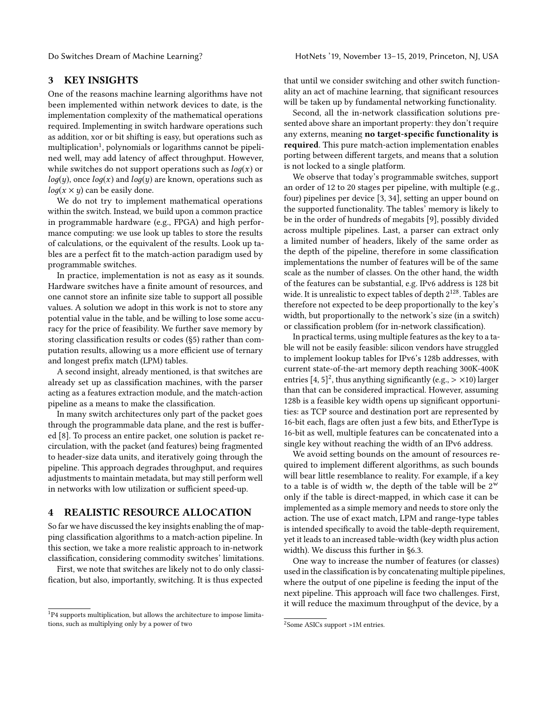### 3 KEY INSIGHTS

One of the reasons machine learning algorithms have not been implemented within network devices to date, is the implementation complexity of the mathematical operations required. Implementing in switch hardware operations such as addition, xor or bit shifting is easy, but operations such as multiplication<sup>[1](#page-2-0)</sup>, polynomials or logarithms cannot be pipelined well, may add latency of affect throughput. However, while switches do not support operations such as  $log(x)$  or  $log(y)$ , once  $log(x)$  and  $log(y)$  are known, operations such as  $log(x \times y)$  can be easily done.

We do not try to implement mathematical operations within the switch. Instead, we build upon a common practice in programmable hardware (e.g., FPGA) and high performance computing: we use look up tables to store the results of calculations, or the equivalent of the results. Look up tables are a perfect fit to the match-action paradigm used by programmable switches.

In practice, implementation is not as easy as it sounds. Hardware switches have a finite amount of resources, and one cannot store an infinite size table to support all possible values. A solution we adopt in this work is not to store any potential value in the table, and be willing to lose some accuracy for the price of feasibility. We further save memory by storing classification results or codes ([§5\)](#page-3-0) rather than computation results, allowing us a more efficient use of ternary and longest prefix match (LPM) tables.

A second insight, already mentioned, is that switches are already set up as classification machines, with the parser acting as a features extraction module, and the match-action pipeline as a means to make the classification.

In many switch architectures only part of the packet goes through the programmable data plane, and the rest is buffered [\[8\]](#page-7-16). To process an entire packet, one solution is packet recirculation, with the packet (and features) being fragmented to header-size data units, and iteratively going through the pipeline. This approach degrades throughput, and requires adjustments to maintain metadata, but may still perform well in networks with low utilization or sufficient speed-up.

# <span id="page-2-2"></span>4 REALISTIC RESOURCE ALLOCATION

So far we have discussed the key insights enabling the of mapping classification algorithms to a match-action pipeline. In this section, we take a more realistic approach to in-network classification, considering commodity switches' limitations.

First, we note that switches are likely not to do only classification, but also, importantly, switching. It is thus expected

that until we consider switching and other switch functionality an act of machine learning, that significant resources will be taken up by fundamental networking functionality.

Second, all the in-network classification solutions presented above share an important property: they don't require any externs, meaning no target-specific functionality is required. This pure match-action implementation enables porting between different targets, and means that a solution is not locked to a single platform.

We observe that today's programmable switches, support an order of 12 to 20 stages per pipeline, with multiple (e.g., four) pipelines per device [\[3,](#page-7-12) [34\]](#page-7-18), setting an upper bound on the supported functionality. The tables' memory is likely to be in the order of hundreds of megabits [\[9\]](#page-7-19), possibly divided across multiple pipelines. Last, a parser can extract only a limited number of headers, likely of the same order as the depth of the pipeline, therefore in some classification implementations the number of features will be of the same scale as the number of classes. On the other hand, the width of the features can be substantial, e.g. IPv6 address is 128 bit wide. It is unrealistic to expect tables of depth 2<sup>128</sup>. Tables are therefore not expected to be deep proportionally to the key's width, but proportionally to the network's size (in a switch) or classification problem (for in-network classification).

In practical terms, using multiple features as the key to a table will not be easily feasible: silicon vendors have struggled to implement lookup tables for IPv6's 128b addresses, with current state-of-the-art memory depth reaching 300K-400K entries [\[4,](#page-7-20) [5\]](#page-7-21)<sup>[2](#page-2-1)</sup>, thus anything significantly (e.g., > ×10) larger<br>than that can be considered impractical. However, assuming than that can be considered impractical. However, assuming 128b is a feasible key width opens up significant opportunities: as TCP source and destination port are represented by 16-bit each, flags are often just a few bits, and EtherType is 16-bit as well, multiple features can be concatenated into a single key without reaching the width of an IPv6 address.

We avoid setting bounds on the amount of resources required to implement different algorithms, as such bounds will bear little resemblance to reality. For example, if a key to a table is of width w, the depth of the table will be  $2^w$ <br>only if the table is direct-manned in which case it can be only if the table is direct-mapped, in which case it can be implemented as a simple memory and needs to store only the action. The use of exact match, LPM and range-type tables is intended specifically to avoid the table-depth requirement, yet it leads to an increased table-width (key width plus action width). We discuss this further in [§6.3.](#page-5-0)

One way to increase the number of features (or classes) used in the classification is by concatenating multiple pipelines, where the output of one pipeline is feeding the input of the next pipeline. This approach will face two challenges. First, it will reduce the maximum throughput of the device, by a

<span id="page-2-0"></span><sup>&</sup>lt;sup>1</sup>P4 supports multiplication, but allows the architecture to impose limitations, such as multiplying only by a power of two

<span id="page-2-1"></span><sup>2</sup>Some ASICs support >1M entries.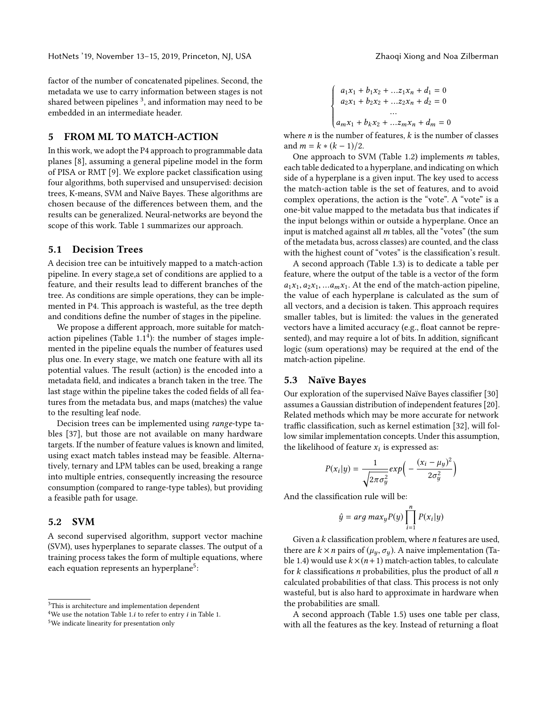factor of the number of concatenated pipelines. Second, the metadata we use to carry information between stages is not shared between pipelines  $3$ , and information may need to be embedded in an intermediate header.

#### <span id="page-3-0"></span>5 FROM ML TO MATCH-ACTION

In this work, we adopt the P4 approach to programmable data planes [\[8\]](#page-7-16), assuming a general pipeline model in the form of PISA or RMT [\[9\]](#page-7-19). We explore packet classification using four algorithms, both supervised and unsupervised: decision trees, K-means, SVM and Naïve Bayes. These algorithms are chosen because of the differences between them, and the results can be generalized. Neural-networks are beyond the scope of this work. Table [1](#page-4-0) summarizes our approach.

#### 5.1 Decision Trees

A decision tree can be intuitively mapped to a match-action pipeline. In every stage,a set of conditions are applied to a feature, and their results lead to different branches of the tree. As conditions are simple operations, they can be implemented in P4. This approach is wasteful, as the tree depth and conditions define the number of stages in the pipeline.

We propose a different approach, more suitable for matchaction pipelines (Table  $1.1<sup>4</sup>$  $1.1<sup>4</sup>$  $1.1<sup>4</sup>$ ): the number of stages implemented in the pipeline equals the number of features used plus one. In every stage, we match one feature with all its potential values. The result (action) is the encoded into a metadata field, and indicates a branch taken in the tree. The last stage within the pipeline takes the coded fields of all features from the metadata bus, and maps (matches) the value to the resulting leaf node.

Decision trees can be implemented using range-type tables [\[37\]](#page-8-14), but those are not available on many hardware targets. If the number of feature values is known and limited, using exact match tables instead may be feasible. Alternatively, ternary and LPM tables can be used, breaking a range into multiple entries, consequently increasing the resource consumption (compared to range-type tables), but providing a feasible path for usage.

#### 5.2 SVM

A second supervised algorithm, support vector machine (SVM), uses hyperplanes to separate classes. The output of a training process takes the form of multiple equations, where each equation represents an hyperplane<sup>[5](#page-3-3)</sup>:

$$
\begin{cases}\na_1x_1 + b_1x_2 + \dots z_1x_n + a_1 = 0 \\
a_2x_1 + b_2x_2 + \dots z_2x_n + d_2 = 0 \\
\dots \\
a_mx_1 + b_kx_2 + \dots z_mx_n + d_m = 0\n\end{cases}
$$

where *n* is the number of features, *k* is the number of classes<br>and  $m = k * (k - 1)/2$ and  $m = k * (k - 1)/2$ .

One approach to SVM (Table [1.](#page-4-0)2) implements m tables, each table dedicated to a hyperplane, and indicating on which side of a hyperplane is a given input. The key used to access the match-action table is the set of features, and to avoid complex operations, the action is the "vote". A "vote" is a one-bit value mapped to the metadata bus that indicates if the input belongs within or outside a hyperplane. Once an input is matched against all  $m$  tables, all the "votes" (the sum of the metadata bus, across classes) are counted, and the class with the highest count of "votes" is the classification's result.

A second approach (Table [1.](#page-4-0)3) is to dedicate a table per feature, where the output of the table is a vector of the form  $a_1x_1, a_2x_1, ... a_mx_1$ . At the end of the match-action pipeline, the value of each hyperplane is calculated as the sum of all vectors, and a decision is taken. This approach requires smaller tables, but is limited: the values in the generated vectors have a limited accuracy (e.g., float cannot be represented), and may require a lot of bits. In addition, significant logic (sum operations) may be required at the end of the match-action pipeline.

#### 5.3 Naïve Bayes

Our exploration of the supervised Naïve Bayes classifier [\[30\]](#page-7-22) assumes a Gaussian distribution of independent features [\[20\]](#page-7-23). Related methods which may be more accurate for network traffic classification, such as kernel estimation [\[32\]](#page-7-24), will follow similar implementation concepts. Under this assumption, the likelihood of feature  $x_i$  is expressed as:

$$
P(x_i|y) = \frac{1}{\sqrt{2\pi\sigma_y^2}} exp\left(-\frac{(x_i - \mu_y)^2}{2\sigma_y^2}\right)
$$

And the classification rule will be:

$$
\hat{y} = arg \, max_y P(y) \prod_{i=1}^n P(x_i | y)
$$

Given a k classification problem, where *n* features are used,<br>ere are  $k \times n$  pairs of  $(\mu, \sigma)$ . A paive implementation (Tathere are  $k \times n$  pairs of  $(\mu_u, \sigma_u)$ . A naive implementation (Ta-ble [1.](#page-4-0)4) would use  $k \times (n+1)$  match-action tables, to calculate for  $k$  classifications  $n$  probabilities, plus the product of all  $n$ calculated probabilities of that class. This process is not only wasteful, but is also hard to approximate in hardware when the probabilities are small.

A second approach (Table [1.](#page-4-0)5) uses one table per class, with all the features as the key. Instead of returning a float

<span id="page-3-1"></span> ${}^{3}{\rm This}$  is architecture and implementation dependent

<span id="page-3-2"></span><sup>&</sup>lt;sup>4</sup>We use the notation Table [1.](#page-4-0)*i* to refer to entry *i* in Table 1.

<span id="page-3-3"></span><sup>5</sup>We indicate linearity for presentation only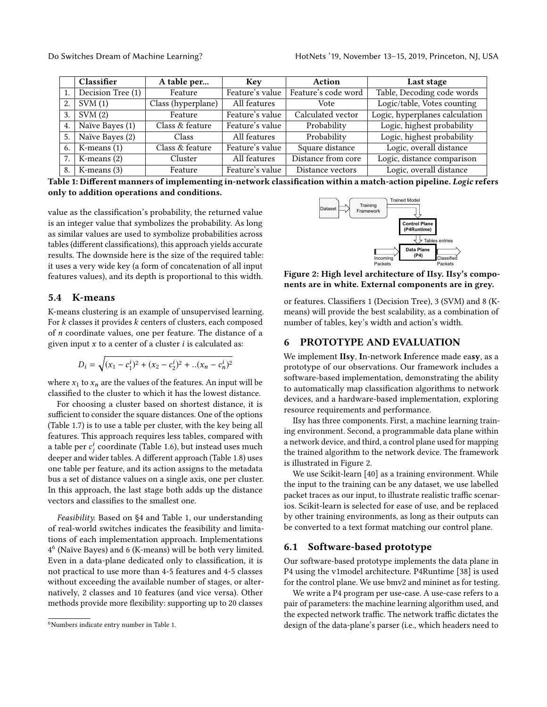<span id="page-4-0"></span>

|    | Classifier        | A table per        | <b>Key</b>      | Action              | Last stage                     |
|----|-------------------|--------------------|-----------------|---------------------|--------------------------------|
|    | Decision Tree (1) | Feature            | Feature's value | Feature's code word | Table, Decoding code words     |
| 2. | SVM(1)            | Class (hyperplane) | All features    | Vote                | Logic/table, Votes counting    |
| 3. | SVM(2)            | Feature            | Feature's value | Calculated vector   | Logic, hyperplanes calculation |
| 4. | Naïve Bayes (1)   | Class & feature    | Feature's value | Probability         | Logic, highest probability     |
| 5. | Naïve Bayes (2)   | Class              | All features    | Probability         | Logic, highest probability     |
| 6. | K-means $(1)$     | Class & feature    | Feature's value | Square distance     | Logic, overall distance        |
| 7. | K-means $(2)$     | Cluster            | All features    | Distance from core  | Logic, distance comparison     |
| 8. | K-means $(3)$     | Feature            | Feature's value | Distance vectors    | Logic, overall distance        |

Table 1: Different manners of implementing in-network classification within a match-action pipeline. Logic refers only to addition operations and conditions.

value as the classification's probability, the returned value is an integer value that symbolizes the probability. As long as similar values are used to symbolize probabilities across tables (different classifications), this approach yields accurate results. The downside here is the size of the required table: it uses a very wide key (a form of concatenation of all input features values), and its depth is proportional to this width.

#### 5.4 K-means

K-means clustering is an example of unsupervised learning. For  $k$  classes it provides  $k$  centers of clusters, each composed of n coordinate values, one per feature. The distance of a given input  $x$  to a center of a cluster  $i$  is calculated as:

$$
D_i = \sqrt{(x_1 - c_1^i)^2 + (x_2 - c_2^i)^2 + ... (x_n - c_n^i)^2}
$$

where  $x_1$  to  $x_n$  are the values of the features. An input will be classified to the cluster to which it has the lowest distance.

For choosing a cluster based on shortest distance, it is sufficient to consider the square distances. One of the options (Table [1.](#page-4-0)7) is to use a table per cluster, with the key being all features. This approach requires less tables, compared with a table per  $c_j^i$  coordinate (Table [1.](#page-4-0)6), but instead uses much<br>deeper and wider tables. A different engreech (Table 1.8) uses deeper and wider tables. A different approach (Table [1.](#page-4-0)8) uses one table per feature, and its action assigns to the metadata bus a set of distance values on a single axis, one per cluster. In this approach, the last stage both adds up the distance vectors and classifies to the smallest one.

Feasibility. Based on [§4](#page-2-2) and Table [1,](#page-4-0) our understanding of real-world switches indicates the feasibility and limitations of each implementation approach. Implementations 4 [6](#page-4-1) (Naïve Bayes) and 6 (K-means) will be both very limited. Even in a data-plane dedicated only to classification, it is not practical to use more than 4-5 features and 4-5 classes without exceeding the available number of stages, or alternatively, 2 classes and 10 features (and vice versa). Other methods provide more flexibility: supporting up to 20 classes

<span id="page-4-2"></span>

Figure 2: High level architecture of IIsy. IIsy's components are in white. External components are in grey.

or features. Classifiers 1 (Decision Tree), 3 (SVM) and 8 (Kmeans) will provide the best scalability, as a combination of number of tables, key's width and action's width.

#### 6 PROTOTYPE AND EVALUATION

We implement IIsy, In-network Inference made easy, as a prototype of our observations. Our framework includes a software-based implementation, demonstrating the ability to automatically map classification algorithms to network devices, and a hardware-based implementation, exploring resource requirements and performance.

IIsy has three components. First, a machine learning training environment. Second, a programmable data plane within a network device, and third, a control plane used for mapping the trained algorithm to the network device. The framework is illustrated in Figure [2.](#page-4-2)

We use Scikit-learn [\[40\]](#page-8-15) as a training environment. While the input to the training can be any dataset, we use labelled packet traces as our input, to illustrate realistic traffic scenarios. Scikit-learn is selected for ease of use, and be replaced by other training environments, as long as their outputs can be converted to a text format matching our control plane.

#### 6.1 Software-based prototype

Our software-based prototype implements the data plane in P4 using the v1model architecture. P4Runtime [\[38\]](#page-8-16) is used for the control plane. We use bmv2 and mininet as for testing.

We write a P4 program per use-case. A use-case refers to a pair of parameters: the machine learning algorithm used, and the expected network traffic. The network traffic dictates the design of the data-plane's parser (i.e., which headers need to

<span id="page-4-1"></span><sup>6</sup>Numbers indicate entry number in Table [1.](#page-4-0)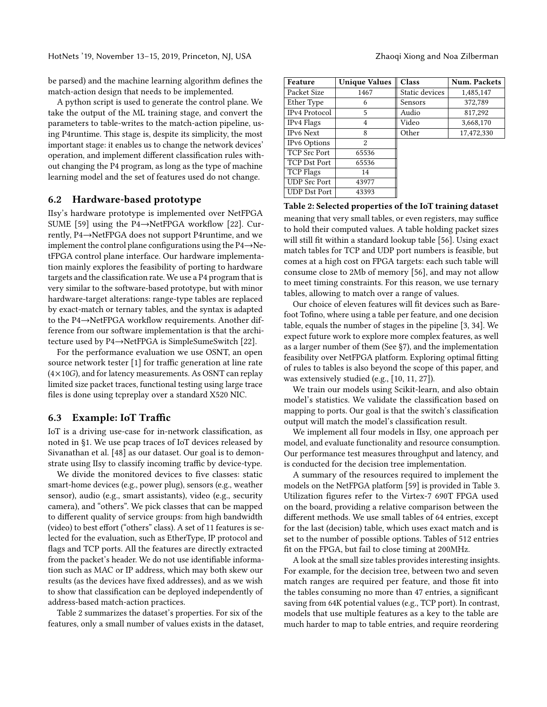be parsed) and the machine learning algorithm defines the match-action design that needs to be implemented.

A python script is used to generate the control plane. We take the output of the ML training stage, and convert the parameters to table-writes to the match-action pipeline, using P4runtime. This stage is, despite its simplicity, the most important stage: it enables us to change the network devices' operation, and implement different classification rules without changing the P4 program, as long as the type of machine learning model and the set of features used do not change.

#### 6.2 Hardware-based prototype

IIsy's hardware prototype is implemented over NetFPGA SUME [\[59\]](#page-8-17) using the P4→NetFPGA workflow [\[22\]](#page-7-25). Currently, P4→NetFPGA does not support P4runtime, and we implement the control plane configurations using the P4→NetFPGA control plane interface. Our hardware implementation mainly explores the feasibility of porting to hardware targets and the classification rate. We use a P4 program that is very similar to the software-based prototype, but with minor hardware-target alterations: range-type tables are replaced by exact-match or ternary tables, and the syntax is adapted to the P4→NetFPGA workflow requirements. Another difference from our software implementation is that the architecture used by P4→NetFPGA is SimpleSumeSwitch [\[22\]](#page-7-25).

For the performance evaluation we use OSNT, an open source network tester [\[1\]](#page-7-26) for traffic generation at line rate  $(4\times10G)$ , and for latency measurements. As OSNT can replay limited size packet traces, functional testing using large trace files is done using tcpreplay over a standard X520 NIC.

### <span id="page-5-0"></span>6.3 Example: IoT Traffic

IoT is a driving use-case for in-network classification, as noted in [§1.](#page-0-0) We use pcap traces of IoT devices released by Sivanathan et al. [\[48\]](#page-8-18) as our dataset. Our goal is to demonstrate using IIsy to classify incoming traffic by device-type.

We divide the monitored devices to five classes: static smart-home devices (e.g., power plug), sensors (e.g., weather sensor), audio (e.g., smart assistants), video (e.g., security camera), and "others". We pick classes that can be mapped to different quality of service groups: from high bandwidth (video) to best effort ("others" class). A set of 11 features is selected for the evaluation, such as EtherType, IP protocol and flags and TCP ports. All the features are directly extracted from the packet's header. We do not use identifiable information such as MAC or IP address, which may both skew our results (as the devices have fixed addresses), and as we wish to show that classification can be deployed independently of address-based match-action practices.

Table [2](#page-5-1) summarizes the dataset's properties. For six of the features, only a small number of values exists in the dataset,

<span id="page-5-1"></span>

| Feature             | <b>Unique Values</b> | Class          | <b>Num. Packets</b> |
|---------------------|----------------------|----------------|---------------------|
| Packet Size         | 1467                 | Static devices | 1,485,147           |
| Ether Type          | 6                    | Sensors        | 372,789             |
| IPv4 Protocol       | 5                    | Audio          | 817,292             |
| IPv4 Flags          | 4                    | Video          | 3,668,170           |
| IPv6 Next           | 8                    | Other          | 17,472,330          |
| <b>IPv6 Options</b> | 2                    |                |                     |
| <b>TCP Src Port</b> | 65536                |                |                     |
| TCP Dst Port        | 65536                |                |                     |
| TCP Flags           | 14                   |                |                     |
| <b>UDP Src Port</b> | 43977                |                |                     |
| UDP Dst Port        | 43393                |                |                     |

# Table 2: Selected properties of the IoT training dataset meaning that very small tables, or even registers, may suffice to hold their computed values. A table holding packet sizes

will still fit within a standard lookup table [\[56\]](#page-8-19). Using exact match tables for TCP and UDP port numbers is feasible, but comes at a high cost on FPGA targets: each such table will consume close to 2Mb of memory [\[56\]](#page-8-19), and may not allow to meet timing constraints. For this reason, we use ternary tables, allowing to match over a range of values.

Our choice of eleven features will fit devices such as Barefoot Tofino, where using a table per feature, and one decision table, equals the number of stages in the pipeline [\[3,](#page-7-12) [34\]](#page-7-18). We expect future work to explore more complex features, as well as a larger number of them (See [§7\)](#page-6-0), and the implementation feasibility over NetFPGA platform. Exploring optimal fitting of rules to tables is also beyond the scope of this paper, and was extensively studied (e.g., [\[10,](#page-7-27) [11,](#page-7-28) [27\]](#page-7-29)).

We train our models using Scikit-learn, and also obtain model's statistics. We validate the classification based on mapping to ports. Our goal is that the switch's classification output will match the model's classification result.

We implement all four models in IIsy, one approach per model, and evaluate functionality and resource consumption. Our performance test measures throughput and latency, and is conducted for the decision tree implementation.

A summary of the resources required to implement the models on the NetFPGA platform [\[59\]](#page-8-17) is provided in Table [3.](#page-6-1) Utilization figures refer to the Virtex-7 690T FPGA used on the board, providing a relative comparison between the different methods. We use small tables of 64 entries, except for the last (decision) table, which uses exact match and is set to the number of possible options. Tables of 512 entries fit on the FPGA, but fail to close timing at 200MHz.

A look at the small size tables provides interesting insights. For example, for the decision tree, between two and seven match ranges are required per feature, and those fit into the tables consuming no more than 47 entries, a significant saving from 64K potential values (e.g., TCP port). In contrast, models that use multiple features as a key to the table are much harder to map to table entries, and require reordering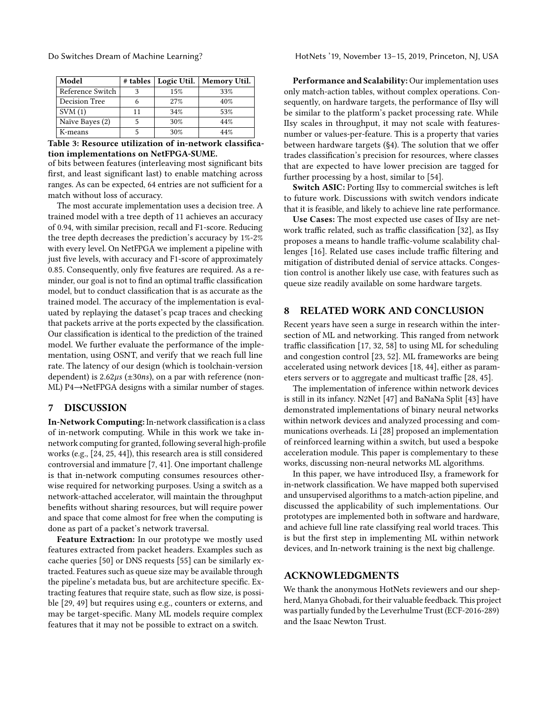<span id="page-6-1"></span>

| Model            |    |     | # tables   Logic Util.   Memory Util. |
|------------------|----|-----|---------------------------------------|
| Reference Switch |    | 15% | 33%                                   |
| Decision Tree    |    | 27% | 40%                                   |
| SVM(1)           | 11 | 34% | 53%                                   |
| Naïve Bayes (2)  |    | 30% | 44%                                   |
| K-means          |    | 30% | 44%                                   |

Table 3: Resource utilization of in-network classification implementations on NetFPGA-SUME.

of bits between features (interleaving most significant bits first, and least significant last) to enable matching across ranges. As can be expected, 64 entries are not sufficient for a match without loss of accuracy.

The most accurate implementation uses a decision tree. A trained model with a tree depth of 11 achieves an accuracy of 0.94, with similar precision, recall and F1-score. Reducing the tree depth decreases the prediction's accuracy by 1%-2% with every level. On NetFPGA we implement a pipeline with just five levels, with accuracy and F1-score of approximately 0.85. Consequently, only five features are required. As a reminder, our goal is not to find an optimal traffic classification model, but to conduct classification that is as accurate as the trained model. The accuracy of the implementation is evaluated by replaying the dataset's pcap traces and checking that packets arrive at the ports expected by the classification. Our classification is identical to the prediction of the trained model. We further evaluate the performance of the implementation, using OSNT, and verify that we reach full line rate. The latency of our design (which is toolchain-version dependent) is  $2.62\mu s$  ( $\pm 30ns$ ), on a par with reference (non-ML) P4→NetFPGA designs with a similar number of stages.

#### <span id="page-6-0"></span>7 DISCUSSION

In-Network Computing: In-network classification is a class of in-network computing. While in this work we take innetwork computing for granted, following several high-profile works (e.g., [\[24,](#page-7-10) [25,](#page-7-11) [44\]](#page-8-20)), this research area is still considered controversial and immature [\[7,](#page-7-30) [41\]](#page-8-21). One important challenge is that in-network computing consumes resources otherwise required for networking purposes. Using a switch as a network-attached accelerator, will maintain the throughput benefits without sharing resources, but will require power and space that come almost for free when the computing is done as part of a packet's network traversal.

Feature Extraction: In our prototype we mostly used features extracted from packet headers. Examples such as cache queries [\[50\]](#page-8-6) or DNS requests [\[55\]](#page-8-22) can be similarly extracted. Features such as queue size may be available through the pipeline's metadata bus, but are architecture specific. Extracting features that require state, such as flow size, is possible [\[29,](#page-7-31) [49\]](#page-8-23) but requires using e.g., counters or externs, and may be target-specific. Many ML models require complex features that it may not be possible to extract on a switch.

Do Switches Dream of Machine Learning? HotNets '19, November 13–15, 2019, Princeton, NJ, USA

Performance and Scalability: Our implementation uses only match-action tables, without complex operations. Consequently, on hardware targets, the performance of IIsy will be similar to the platform's packet processing rate. While IIsy scales in throughput, it may not scale with featuresnumber or values-per-feature. This is a property that varies between hardware targets ([§4\)](#page-2-2). The solution that we offer trades classification's precision for resources, where classes that are expected to have lower precision are tagged for further processing by a host, similar to [\[54\]](#page-8-24).

Switch ASIC: Porting IIsy to commercial switches is left to future work. Discussions with switch vendors indicate that it is feasible, and likely to achieve line rate performance.

Use Cases: The most expected use cases of IIsy are network traffic related, such as traffic classification [\[32\]](#page-7-24), as IIsy proposes a means to handle traffic-volume scalability challenges [\[16\]](#page-7-32). Related use cases include traffic filtering and mitigation of distributed denial of service attacks. Congestion control is another likely use case, with features such as queue size readily available on some hardware targets.

# 8 RELATED WORK AND CONCLUSION

Recent years have seen a surge in research within the intersection of ML and networking. This ranged from network traffic classification [\[17,](#page-7-33) [32,](#page-7-24) [58\]](#page-8-25) to using ML for scheduling and congestion control [\[23,](#page-7-9) [52\]](#page-8-5). ML frameworks are being accelerated using network devices [\[18,](#page-7-4) [44\]](#page-8-20), either as parameters servers or to aggregate and multicast traffic [\[28,](#page-7-34) [45\]](#page-8-7).

The implementation of inference within network devices is still in its infancy. N2Net [\[47\]](#page-8-8) and BaNaNa Split [\[43\]](#page-8-9) have demonstrated implementations of binary neural networks within network devices and analyzed processing and communications overheads. Li [\[28\]](#page-7-34) proposed an implementation of reinforced learning within a switch, but used a bespoke acceleration module. This paper is complementary to these works, discussing non-neural networks ML algorithms.

In this paper, we have introduced IIsy, a framework for in-network classification. We have mapped both supervised and unsupervised algorithms to a match-action pipeline, and discussed the applicability of such implementations. Our prototypes are implemented both in software and hardware, and achieve full line rate classifying real world traces. This is but the first step in implementing ML within network devices, and In-network training is the next big challenge.

### ACKNOWLEDGMENTS

We thank the anonymous HotNets reviewers and our shepherd, Manya Ghobadi, for their valuable feedback. This project was partially funded by the Leverhulme Trust (ECF-2016-289) and the Isaac Newton Trust.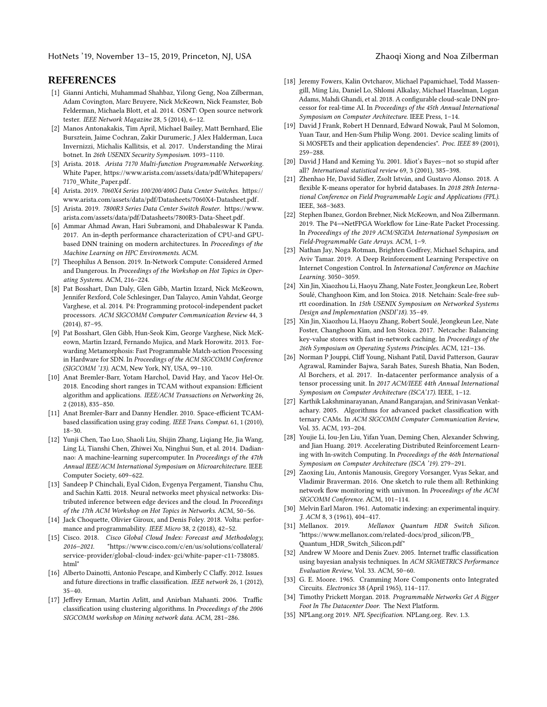#### REFERENCES

- <span id="page-7-26"></span>[1] Gianni Antichi, Muhammad Shahbaz, Yilong Geng, Noa Zilberman, Adam Covington, Marc Bruyere, Nick McKeown, Nick Feamster, Bob Felderman, Michaela Blott, et al. 2014. OSNT: Open source network tester. IEEE Network Magazine 28, 5 (2014), 6–12.
- <span id="page-7-15"></span>[2] Manos Antonakakis, Tim April, Michael Bailey, Matt Bernhard, Elie Bursztein, Jaime Cochran, Zakir Durumeric, J Alex Halderman, Luca Invernizzi, Michalis Kallitsis, et al. 2017. Understanding the Mirai botnet. In 26th USENIX Security Symposium. 1093-1110.
- <span id="page-7-12"></span>[3] Arista. 2018. Arista 7170 Multi-function Programmable Networking. White Paper, [https://www.arista.com/assets/data/pdf/Whitepapers/](https://www.arista.com/assets/data/pdf/Whitepapers/7170_White_Paper.pdf) [7170\\_White\\_Paper.pdf.](https://www.arista.com/assets/data/pdf/Whitepapers/7170_White_Paper.pdf)
- <span id="page-7-20"></span>[4] Arista. 2019. 7060X4 Series 100/200/400G Data Center Switches. [https://](https://www.arista.com/assets/data/pdf/Datasheets/7060X4-Datasheet.pdf) [www.arista.com/assets/data/pdf/Datasheets/7060X4-Datasheet.pdf.](https://www.arista.com/assets/data/pdf/Datasheets/7060X4-Datasheet.pdf)
- <span id="page-7-21"></span>[5] Arista. 2019. 7800R3 Series Data Center Switch Router. [https://www.](https://www.arista.com/assets/data/pdf/Datasheets/7800R3-Data-Sheet.pdf) [arista.com/assets/data/pdf/Datasheets/7800R3-Data-Sheet.pdf.](https://www.arista.com/assets/data/pdf/Datasheets/7800R3-Data-Sheet.pdf)
- <span id="page-7-2"></span>[6] Ammar Ahmad Awan, Hari Subramoni, and Dhabaleswar K Panda. 2017. An in-depth performance characterization of CPU-and GPUbased DNN training on modern architectures. In Proceedings of the Machine Learning on HPC Environments. ACM.
- <span id="page-7-30"></span>[7] Theophilus A Benson. 2019. In-Network Compute: Considered Armed and Dangerous. In Proceedings of the Workshop on Hot Topics in Operating Systems. ACM, 216–224.
- <span id="page-7-16"></span>[8] Pat Bosshart, Dan Daly, Glen Gibb, Martin Izzard, Nick McKeown, Jennifer Rexford, Cole Schlesinger, Dan Talayco, Amin Vahdat, George Varghese, et al. 2014. P4: Programming protocol-independent packet processors. ACM SIGCOMM Computer Communication Review 44, 3 (2014), 87–95.
- <span id="page-7-19"></span>[9] Pat Bosshart, Glen Gibb, Hun-Seok Kim, George Varghese, Nick McKeown, Martin Izzard, Fernando Mujica, and Mark Horowitz. 2013. Forwarding Metamorphosis: Fast Programmable Match-action Processing in Hardware for SDN. In Proceedings of the ACM SIGCOMM Conference (SIGCOMM '13). ACM, New York, NY, USA, 99–110.
- <span id="page-7-27"></span>[10] Anat Bremler-Barr, Yotam Harchol, David Hay, and Yacov Hel-Or. 2018. Encoding short ranges in TCAM without expansion: Efficient algorithm and applications. IEEE/ACM Transactions on Networking 26, 2 (2018), 835–850.
- <span id="page-7-28"></span>[11] Anat Bremler-Barr and Danny Hendler. 2010. Space-efficient TCAMbased classification using gray coding. IEEE Trans. Comput. 61, 1 (2010), 18–30.
- <span id="page-7-6"></span>[12] Yunji Chen, Tao Luo, Shaoli Liu, Shijin Zhang, Liqiang He, Jia Wang, Ling Li, Tianshi Chen, Zhiwei Xu, Ninghui Sun, et al. 2014. Dadiannao: A machine-learning supercomputer. In Proceedings of the 47th Annual IEEE/ACM International Symposium on Microarchitecture. IEEE Computer Society, 609–622.
- <span id="page-7-8"></span>[13] Sandeep P Chinchali, Eyal Cidon, Evgenya Pergament, Tianshu Chu, and Sachin Katti. 2018. Neural networks meet physical networks: Distributed inference between edge devices and the cloud. In Proceedings of the 17th ACM Workshop on Hot Topics in Networks. ACM, 50–56.
- <span id="page-7-3"></span>[14] Jack Choquette, Olivier Giroux, and Denis Foley. 2018. Volta: performance and programmability. IEEE Micro 38, 2 (2018), 42–52.
- <span id="page-7-14"></span>[15] Cisco. 2018. Cisco Global Cloud Index: Forecast and Methodology, 2016–2021. ["https://www.cisco.com/c/en/us/solutions/collateral/]("https://www.cisco.com/c/en/us/solutions/collateral/service-provider/global-cloud-index-gci/white-paper-c11-738085.html") [service-provider/global-cloud-index-gci/white-paper-c11-738085.]("https://www.cisco.com/c/en/us/solutions/collateral/service-provider/global-cloud-index-gci/white-paper-c11-738085.html") [html"]("https://www.cisco.com/c/en/us/solutions/collateral/service-provider/global-cloud-index-gci/white-paper-c11-738085.html")
- <span id="page-7-32"></span>[16] Alberto Dainotti, Antonio Pescape, and Kimberly C Claffy. 2012. Issues and future directions in traffic classification. IEEE network 26, 1 (2012), 35–40.
- <span id="page-7-33"></span>[17] Jeffrey Erman, Martin Arlitt, and Anirban Mahanti. 2006. Traffic classification using clustering algorithms. In Proceedings of the 2006 SIGCOMM workshop on Mining network data. ACM, 281–286.
- <span id="page-7-4"></span>[18] Jeremy Fowers, Kalin Ovtcharov, Michael Papamichael, Todd Massengill, Ming Liu, Daniel Lo, Shlomi Alkalay, Michael Haselman, Logan Adams, Mahdi Ghandi, et al. 2018. A configurable cloud-scale DNN processor for real-time AI. In Proceedings of the 45th Annual International Symposium on Computer Architecture. IEEE Press, 1–14.
- <span id="page-7-1"></span>[19] David J Frank, Robert H Dennard, Edward Nowak, Paul M Solomon, Yuan Taur, and Hen-Sum Philip Wong. 2001. Device scaling limits of Si MOSFETs and their application dependencies". Proc. IEEE 89 (2001), 259–288.
- <span id="page-7-23"></span>[20] David J Hand and Keming Yu. 2001. Idiot's Bayes—not so stupid after all? International statistical review 69, 3 (2001), 385–398.
- <span id="page-7-5"></span>[21] Zhenhao He, David Sidler, Zsolt István, and Gustavo Alonso. 2018. A flexible K-means operator for hybrid databases. In 2018 28th International Conference on Field Programmable Logic and Applications (FPL). IEEE, 368–3683.
- <span id="page-7-25"></span>[22] Stephen Ibanez, Gordon Brebner, Nick McKeown, and Noa Zilbermann. 2019. The P4→NetFPGA Workflow for Line-Rate Packet Processing. In Proceedings of the 2019 ACM/SIGDA International Symposium on Field-Programmable Gate Arrays. ACM, 1–9.
- <span id="page-7-9"></span>[23] Nathan Jay, Noga Rotman, Brighten Godfrey, Michael Schapira, and Aviv Tamar. 2019. A Deep Reinforcement Learning Perspective on Internet Congestion Control. In International Conference on Machine Learning. 3050–3059.
- <span id="page-7-10"></span>[24] Xin Jin, Xiaozhou Li, Haoyu Zhang, Nate Foster, Jeongkeun Lee, Robert Soulé, Changhoon Kim, and Ion Stoica. 2018. Netchain: Scale-free subrtt coordination. In 15th USENIX Symposium on Networked Systems Design and Implementation (NSDI'18). 35–49.
- <span id="page-7-11"></span>[25] Xin Jin, Xiaozhou Li, Haoyu Zhang, Robert Soulé, Jeongkeun Lee, Nate Foster, Changhoon Kim, and Ion Stoica. 2017. Netcache: Balancing key-value stores with fast in-network caching. In Proceedings of the 26th Symposium on Operating Systems Principles. ACM, 121–136.
- <span id="page-7-7"></span>[26] Norman P Jouppi, Cliff Young, Nishant Patil, David Patterson, Gaurav Agrawal, Raminder Bajwa, Sarah Bates, Suresh Bhatia, Nan Boden, Al Borchers, et al. 2017. In-datacenter performance analysis of a tensor processing unit. In 2017 ACM/IEEE 44th Annual International Symposium on Computer Architecture (ISCA'17). IEEE, 1–12.
- <span id="page-7-29"></span>[27] Karthik Lakshminarayanan, Anand Rangarajan, and Srinivasan Venkatachary. 2005. Algorithms for advanced packet classification with ternary CAMs. In ACM SIGCOMM Computer Communication Review, Vol. 35. ACM, 193–204.
- <span id="page-7-34"></span>[28] Youjie Li, Iou-Jen Liu, Yifan Yuan, Deming Chen, Alexander Schwing, and Jian Huang. 2019. Accelerating Distributed Reinforcement Learning with In-switch Computing. In Proceedings of the 46th International Symposium on Computer Architecture (ISCA '19). 279–291.
- <span id="page-7-31"></span>[29] Zaoxing Liu, Antonis Manousis, Gregory Vorsanger, Vyas Sekar, and Vladimir Braverman. 2016. One sketch to rule them all: Rethinking network flow monitoring with univmon. In Proceedings of the ACM SIGCOMM Conference. ACM, 101–114.
- <span id="page-7-22"></span>[30] Melvin Earl Maron. 1961. Automatic indexing: an experimental inquiry. J. ACM 8, 3 (1961), 404–417.
- <span id="page-7-13"></span>[31] Mellanox. 2019. Mellanox Quantum HDR Switch Silicon. ["https://www.mellanox.com/related-docs/prod\\_silicon/PB\\_]("https://www.mellanox.com/related-docs/prod_silicon/PB_Quantum_HDR_Switch_Silicon.pdf") [Quantum\\_HDR\\_Switch\\_Silicon.pdf"]("https://www.mellanox.com/related-docs/prod_silicon/PB_Quantum_HDR_Switch_Silicon.pdf")
- <span id="page-7-24"></span>[32] Andrew W Moore and Denis Zuev. 2005. Internet traffic classification using bayesian analysis techniques. In ACM SIGMETRICS Performance Evaluation Review, Vol. 33. ACM, 50–60.
- <span id="page-7-0"></span>[33] G. E. Moore. 1965. Cramming More Components onto Integrated Circuits. Electronics 38 (April 1965), 114–117.
- <span id="page-7-18"></span>[34] Timothy Prickett Morgan. 2018. Programmable Networks Get A Bigger Foot In The Datacenter Door. The Next Platform.
- <span id="page-7-17"></span>[35] NPLang.org 2019. NPL Specification. NPLang.org. Rev. 1.3.